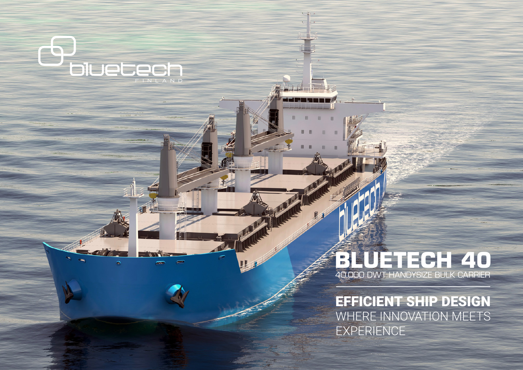# **BLUETECH 40** 40.000 DWT HANDYSIZE BULK CARRIER

C

**DIUECECH** 

 $\bullet$ 

EFFICIENT SHIP DESIGN WHERE INNOVATION MEETS EXPERIENCE